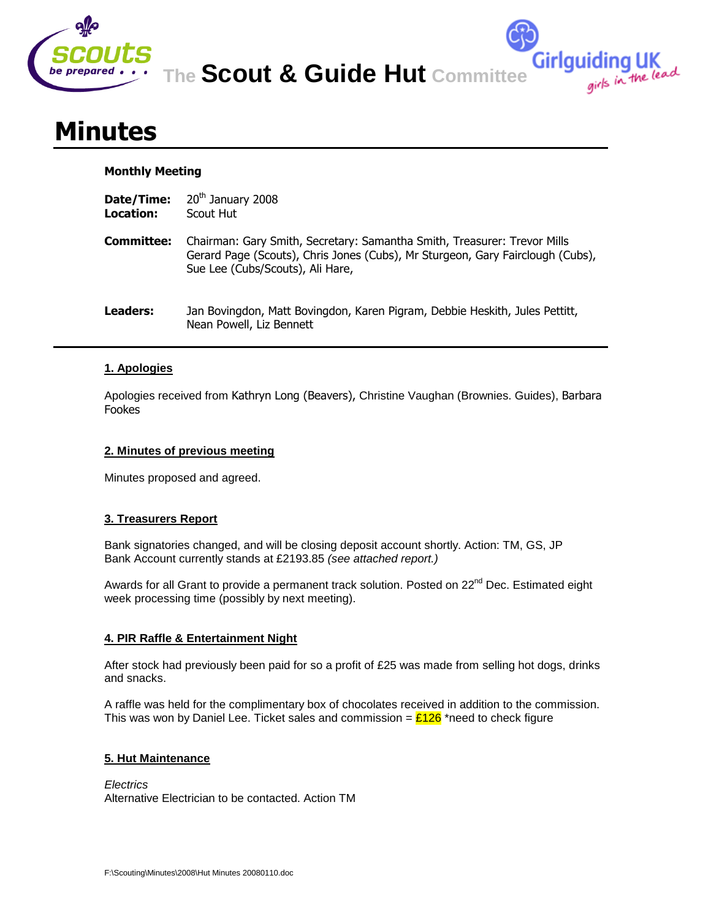

**Girlguiding UK**<br>girls in the lead

# **Minutes**

## **Monthly Meeting**

- **Date/Time:** 20<sup>th</sup> January 2008
- **Location:** Scout Hut
- **Committee:** Chairman: Gary Smith, Secretary: Samantha Smith, Treasurer: Trevor Mills Gerard Page (Scouts), Chris Jones (Cubs), Mr Sturgeon, Gary Fairclough (Cubs), Sue Lee (Cubs/Scouts), Ali Hare,
- **Leaders:** Jan Bovingdon, Matt Bovingdon, Karen Pigram, Debbie Heskith, Jules Pettitt, Nean Powell, Liz Bennett

# **1. Apologies**

Apologies received from Kathryn Long (Beavers), Christine Vaughan (Brownies. Guides), Barbara Fookes

## **2. Minutes of previous meeting**

Minutes proposed and agreed.

# **3. Treasurers Report**

Bank signatories changed, and will be closing deposit account shortly. Action: TM, GS, JP Bank Account currently stands at £2193.85 *(see attached report.)*

Awards for all Grant to provide a permanent track solution. Posted on 22<sup>nd</sup> Dec. Estimated eight week processing time (possibly by next meeting).

# **4. PIR Raffle & Entertainment Night**

After stock had previously been paid for so a profit of £25 was made from selling hot dogs, drinks and snacks.

A raffle was held for the complimentary box of chocolates received in addition to the commission. This was won by Daniel Lee. Ticket sales and commission =  $\frac{\mathcal{E}126}{\mathcal{E}126}$  \*need to check figure

## **5. Hut Maintenance**

*Electrics* Alternative Electrician to be contacted. Action TM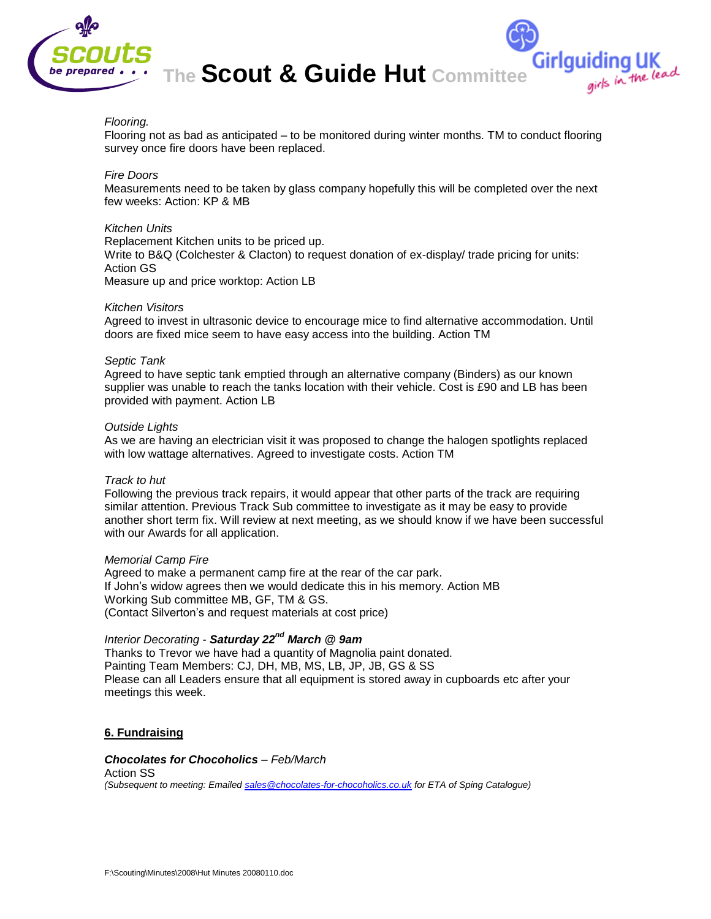

## *Flooring.*

Flooring not as bad as anticipated – to be monitored during winter months. TM to conduct flooring survey once fire doors have been replaced.

Girlguiding UK<br>girls in the lead

## *Fire Doors*

Measurements need to be taken by glass company hopefully this will be completed over the next few weeks: Action: KP & MB

## *Kitchen Units*

Replacement Kitchen units to be priced up. Write to B&Q (Colchester & Clacton) to request donation of ex-display/ trade pricing for units: Action GS Measure up and price worktop: Action LB

#### *Kitchen Visitors*

Agreed to invest in ultrasonic device to encourage mice to find alternative accommodation. Until doors are fixed mice seem to have easy access into the building. Action TM

#### *Septic Tank*

Agreed to have septic tank emptied through an alternative company (Binders) as our known supplier was unable to reach the tanks location with their vehicle. Cost is £90 and LB has been provided with payment. Action LB

#### *Outside Lights*

As we are having an electrician visit it was proposed to change the halogen spotlights replaced with low wattage alternatives. Agreed to investigate costs. Action TM

## *Track to hut*

Following the previous track repairs, it would appear that other parts of the track are requiring similar attention. Previous Track Sub committee to investigate as it may be easy to provide another short term fix. Will review at next meeting, as we should know if we have been successful with our Awards for all application.

#### *Memorial Camp Fire*

Agreed to make a permanent camp fire at the rear of the car park. If John's widow agrees then we would dedicate this in his memory. Action MB Working Sub committee MB, GF, TM & GS. (Contact Silverton's and request materials at cost price)

# *Interior Decorating - Saturday 22nd March @ 9am*

Thanks to Trevor we have had a quantity of Magnolia paint donated. Painting Team Members: CJ, DH, MB, MS, LB, JP, JB, GS & SS Please can all Leaders ensure that all equipment is stored away in cupboards etc after your meetings this week.

## **6. Fundraising**

## *Chocolates for Chocoholics – Feb/March*

Action SS *(Subsequent to meeting: Emailed [sales@chocolates-for-chocoholics.co.uk](mailto:sales@chocolates-for-chocoholics.co.uk) for ETA of Sping Catalogue)*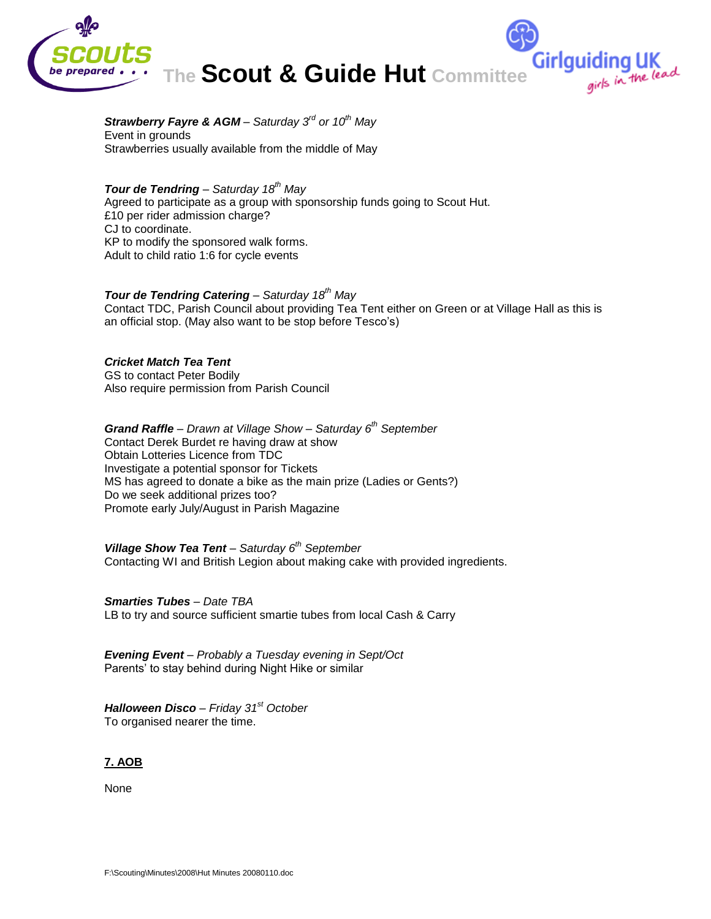

Girlguiding UK<br>girls in the lead

## *Strawberry Fayre & AGM – Saturday 3rd or 10th May*  Event in grounds Strawberries usually available from the middle of May

## *Tour de Tendring – Saturday 18th May*

Agreed to participate as a group with sponsorship funds going to Scout Hut. £10 per rider admission charge? CJ to coordinate. KP to modify the sponsored walk forms. Adult to child ratio 1:6 for cycle events

## *Tour de Tendring Catering – Saturday 18th May*

Contact TDC, Parish Council about providing Tea Tent either on Green or at Village Hall as this is an official stop. (May also want to be stop before Tesco's)

## *Cricket Match Tea Tent*

GS to contact Peter Bodily Also require permission from Parish Council

*Grand Raffle – Drawn at Village Show – Saturday 6th September*  Contact Derek Burdet re having draw at show Obtain Lotteries Licence from TDC Investigate a potential sponsor for Tickets MS has agreed to donate a bike as the main prize (Ladies or Gents?) Do we seek additional prizes too? Promote early July/August in Parish Magazine

*Village Show Tea Tent – Saturday 6th September* Contacting WI and British Legion about making cake with provided ingredients.

## *Smarties Tubes – Date TBA*

LB to try and source sufficient smartie tubes from local Cash & Carry

*Evening Event – Probably a Tuesday evening in Sept/Oct* Parents' to stay behind during Night Hike or similar

*Halloween Disco – Friday 31st October* To organised nearer the time.

**7. AOB**

None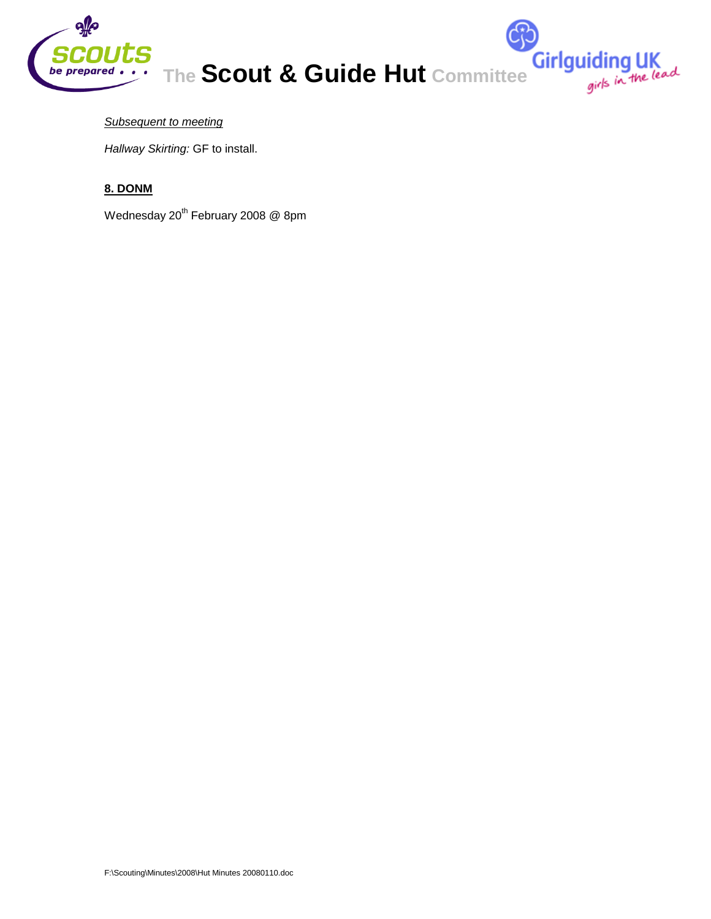

Girlguiding UK<br>girls in the lead

# *Subsequent to meeting*

*Hallway Skirting:* GF to install.

# **8. DONM**

Wednesday 20<sup>th</sup> February 2008 @ 8pm